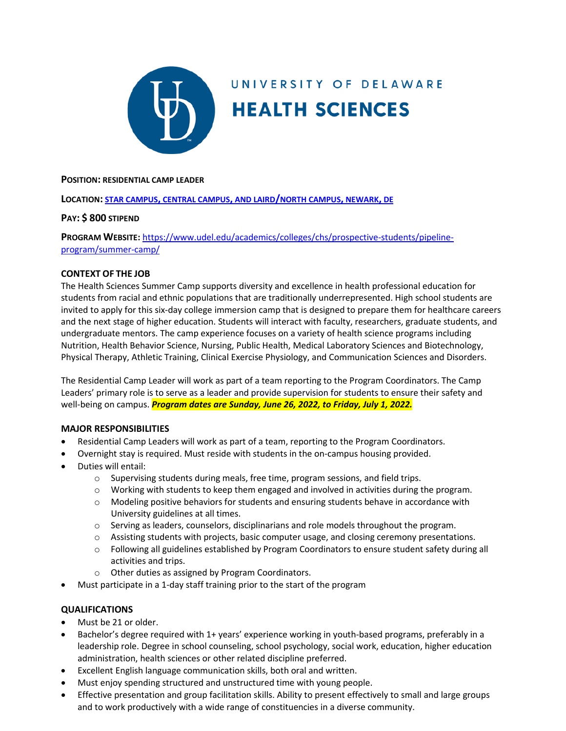

# UNIVERSITY OF DELAWARE **HEALTH SCIENCES**

#### **POSITION: RESIDENTIAL CAMP LEADER**

**LOCATION: STAR CAMPUS, CENTRAL CAMPUS, [AND LAIRD/NORTH CAMPUS,](https://css-rdms1.win.udel.edu/maps/) NEWARK, DE**

#### **PAY: \$ 800 STIPEND**

**PROGRAM WEBSITE:** [https://www.udel.edu/academics/colleges/chs/prospective-students/pipeline](https://www.udel.edu/academics/colleges/chs/prospective-students/pipeline-program/summer-camp/)[program/summer-camp/](https://www.udel.edu/academics/colleges/chs/prospective-students/pipeline-program/summer-camp/)

#### **CONTEXT OF THE JOB**

The Health Sciences Summer Camp supports diversity and excellence in health professional education for students from racial and ethnic populations that are traditionally underrepresented. High school students are invited to apply for this six-day college immersion camp that is designed to prepare them for healthcare careers and the next stage of higher education. Students will interact with faculty, researchers, graduate students, and undergraduate mentors. The camp experience focuses on a variety of health science programs including Nutrition, Health Behavior Science, Nursing, Public Health, Medical Laboratory Sciences and Biotechnology, Physical Therapy, Athletic Training, Clinical Exercise Physiology, and Communication Sciences and Disorders.

The Residential Camp Leader will work as part of a team reporting to the Program Coordinators. The Camp Leaders' primary role is to serve as a leader and provide supervision for students to ensure their safety and well-being on campus. **Program dates are Sunday, June 26, 2022, to Friday, July 1, 2022.** 

#### **MAJOR RESPONSIBILITIES**

- Residential Camp Leaders will work as part of a team, reporting to the Program Coordinators.
- Overnight stay is required. Must reside with students in the on-campus housing provided.
- Duties will entail:
	- $\circ$  Supervising students during meals, free time, program sessions, and field trips.
	- $\circ$  Working with students to keep them engaged and involved in activities during the program.
	- o Modeling positive behaviors for students and ensuring students behave in accordance with University guidelines at all times.
	- o Serving as leaders, counselors, disciplinarians and role models throughout the program.
	- o Assisting students with projects, basic computer usage, and closing ceremony presentations.
	- $\circ$  Following all guidelines established by Program Coordinators to ensure student safety during all activities and trips.
	- o Other duties as assigned by Program Coordinators.
- Must participate in a 1-day staff training prior to the start of the program

## **QUALIFICATIONS**

- Must be 21 or older.
- Bachelor's degree required with 1+ years' experience working in youth-based programs, preferably in a leadership role. Degree in school counseling, school psychology, social work, education, higher education administration, health sciences or other related discipline preferred.
- Excellent English language communication skills, both oral and written.
- Must enjoy spending structured and unstructured time with young people.
- Effective presentation and group facilitation skills. Ability to present effectively to small and large groups and to work productively with a wide range of constituencies in a diverse community.